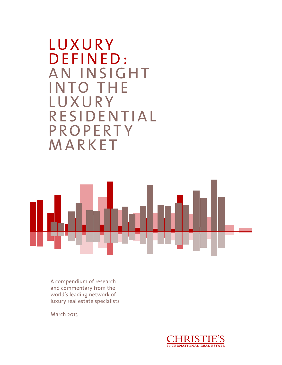**LUXURY** DEFINED: AN INSIGHT INTO THE **LUXURY RESIDENTIAL P R O P E R T Y** MARKET



A compendium of research and commentary from the world's leading network of luxury real estate specialists

March 2013

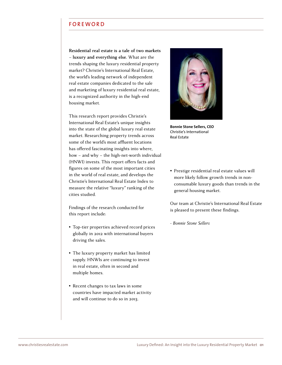### **FOREWORD**

**Residential real estate is a tale of two markets**  – **luxury and everything else.** What are the trends shaping the luxury residential property market? [Christie's International Real Estate,](http://www.christiesrealestate.com) the world's leading network of independent real estate companies dedicated to the sale and marketing of luxury residential real estate, is a recognized authority in the high-end housing market.

This research report provides Christie's International Real Estate's unique insights into the state of the global luxury real estate market. Researching property trends across some of the world's most affluent locations has offered fascinating insights into where, how – and why – the high-net-worth individual (HNWI) invests. This report offers facts and figures on some of the most important cities in the world of real estate, and develops the Christie's International Real Estate Index to measure the relative "luxury" ranking of the cities studied.

Findings of the research conducted for this report include:

- Top-tier properties achieved record prices globally in 2012 with international buyers driving the sales.
- Ǜ The luxury property market has limited supply. HNWIs are continuing to invest in real estate, often in second and multiple homes.
- Recent changes to tax laws in some countries have impacted market activity and will continue to do so in 2013.



**Bonnie Stone Sellers, CEO** Christie's International Real Estate

Ǜ Prestige residential real estate values will more likely follow growth trends in nonconsumable luxury goods than trends in the general housing market.

Our team at Christie's International Real Estate is pleased to present these findings.

*- Bonnie Stone Sellers*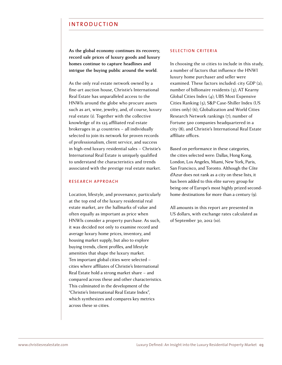## INTRODUCTION

**As the global economy continues its recovery, record sale prices of luxury goods and luxury homes continue to capture headlines and intrigue the buying public around the world.** 

As the only real estate network owned by a fine-art auction house, Christie's International Real Estate has unparalleled access to the HNWIs around the globe who procure assets such as art, wine, jewelry, and, of course, luxury real estate (1). Together with the collective knowledge of its 125 affiliated real estate brokerages in 41 countries – all individually selected to join its network for proven records of professionalism, client service, and success in high-end luxury residential sales – Christie's International Real Estate is uniquely qualified to understand the characteristics and trends associated with the prestige real estate market.

#### RESEARCH APPROACH

Location, lifestyle, and provenance, particularly at the top end of the luxury residential real estate market, are the hallmarks of value and often equally as important as price when HNWIs consider a property purchase. As such, it was decided not only to examine record and average luxury home prices, inventory, and housing market supply, but also to explore buying trends, client profiles, and lifestyle amenities that shape the luxury market. Ten important global cities were selected – cities where affiliates of Christie's International Real Estate hold a strong market share – and compared across these and other characteristics. This culminated in the development of the "Christie's International Real Estate Index", which synthesizes and compares key metrics across these 10 cities.

#### SELECTION CRITERIA

In choosing the 10 cities to include in this study, a number of factors that influence the HNWI luxury home purchaser and seller were examined. These factors included: city GDP (2); number of billionaire residents  $(3)$ ; AT Kearny Global Cities Index (4); UBS Most Expensive Cities Ranking (5); S&P Case-Shiller Index (US cities only) (6): Globalization and World Cities Research Network rankings (7); number of Fortune 500 companies headquartered in a city (8); and Christie's International Real Estate affiliate offices.

Based on performance in these categories, the cities selected were: Dallas, Hong Kong, London, Los Angeles, Miami, New York, Paris. San Francisco, and Toronto. Although the Côte d'Azur does not rank as a city on these lists, it has been added to this elite survey group for being one of Europe's most highly prized secondhome destinations for more than a century (9).

All amounts in this report are presented in US dollars, with exchange rates calculated as of September 30, 2012 (10).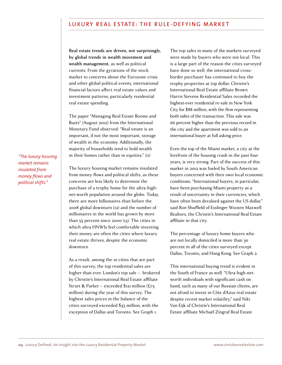## LUXURY REAL ESTATE: THE RULE-DEFYING MARKET

**Real estate trends are driven, not surprisingly, by global trends in wealth movement and wealth management,** as well as political currents. From the gyrations of the stock market to concerns about the Eurozone crisis and other global political events, international financial factors affect real estate values and investment patterns, particularly residential real estate spending.

The paper "Managing Real Estate Booms and Busts" (August 2012) from the International Monetary Fund observed: "Real estate is an important, if not the most important, storage of wealth in the economy. Additionally, the majority of households tend to hold wealth in their homes rather than in equities." (11)

The luxury housing market remains insulated from money flows and political shifts, as these concerns are less likely to determine the purchase of a trophy home for the ultra-highnet-worth population around the globe. Today, there are more billionaires than before the 2008 global downturn (12) and the number of millionaires in the world has grown by more than 55 percent since 2000 (13). The cities in which ultra HNWIs feel comfortable investing their money are often the cities where luxury real estate thrives, despite the economic downturn.

As a result, among the 10 cities that are part of this survey, the top residential sales are higher than ever. London's top sale – brokered by Christie's International Real Estate affiliate Strutt & Parker – exceeded \$121 million  $(E_{75})$ million) during the year of this survey. The highest sales prices in the balance of the cities surveyed exceeded \$35 million, with the exception of Dallas and Toronto. See Graph 1.

The top sales in many of the markets surveyed were made by buyers who were not local. This is a large part of the reason the cities surveyed have done so well: the international crossborder purchaser has continued to buy the trophy properties at top dollar. Christie's International Real Estate affiliate Brown Harris Stevens Residential Sales recorded the highest-ever residential re-sale in New York City for \$88 million, with the firm representing both sides of the transaction. This sale was 66 percent higher than the previous record in the city and the apartment was sold to an international buyer at full asking price.

Even the top of the Miami market, a city at the forefront of the housing crash in the past four years, is very strong. Part of the success of this market in 2012 was fueled by South American buyers concerned with their own local economic conditions. "International buyers, in particular, have been purchasing Miami property as a result of uncertainty in their currencies, which have often been devalued against the US dollar," said Ron Shuffield of Esslinger Wooten Maxwell Realtors, the Christie's International Real Estate affiliate in that city.

The percentage of luxury home buyers who are not locally domiciled is more than 30 percent in all of the cities surveyed except Dallas, Toronto, and Hong Kong. See Graph 2.

This international buying trend is evident in the South of France as well. "Ultra-high-networth individuals with significant cash on hand, such as many of our Russian clients, are not afraid to invest in Côte d'Azur real estate despite recent market volatility," said Niki Van Eijk of Christie's International Real Estate aƎliate Michaël Zingraf Real Estate

*"The luxury housing market remains insulated from money lows and political shifts."*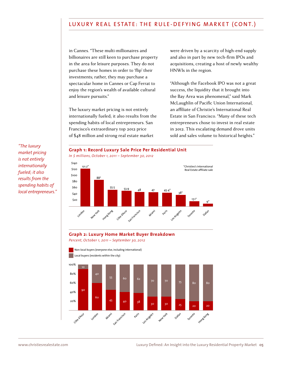## LUXURY REAL ESTATE: THE RULE-DEFYING MARKET (CONT.)

in Cannes. "These multi-millionaires and billionaires are still keen to purchase property in the area for leisure purposes. They do not purchase these homes in order to 'flip' their investments; rather, they may purchase a spectacular home in Cannes or Cap Ferrat to enjoy the region's wealth of available cultural and leisure pursuits."

The luxury market pricing is not entirely internationally fueled; it also results from the spending habits of local entrepreneurs. San Francisco's extraordinary top 2012 price of \$48 million and strong real estate market

were driven by a scarcity of high-end supply and also in part by new tech-firm IPOs and acquisitions, creating a host of newly wealthy HNWIs in the region.

ǍAlthough the Facebook IPO was not a great success, the liquidity that it brought into the Bay Area was phenomenal," said Mark McLaughlin of Pacific Union International. an affiliate of Christie's International Real Estate in San Francisco. "Many of these tech entrepreneurs chose to invest in real estate in 2012. This escalating demand drove units sold and sales volume to historical heights."

*"The luxury market pricing is not entirely internationally fueled; it also results from the spending habits of local entrepreneurs."*



*In \$ millions, October 1, 2011 – September 30, 2012*



### **Graph 2: Luxury Home Market Buyer Breakdown**

*Percent, October 1, 2011 – September 30, 2012*

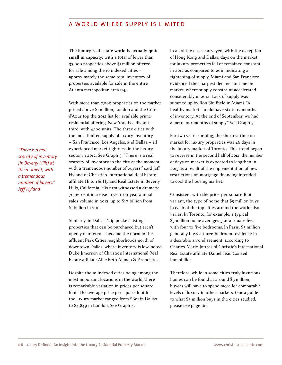## A WORLD WHERE SUPPLY IS LIMITED

**The luxury real estate world is actually quite small in capacity,** with a total of fewer than 33,000 properties above \$1 million offered for sale among the 10 indexed cities – approximately the same total inventory of properties available for sale in the entire Atlanta metropolitan area (14).

With more than 7,000 properties on the market priced above \$1 million. London and the Côte d'Azur top the 2012 list for available prime residential offering. New York is a distant third, with 4,100 units. The three cities with the most limited supply of luxury inventory - San Francisco, Los Angeles, and Dallas - all experienced market tightness in the luxury sector in 2012. See Graph 3. "There is a real scarcity of inventory in the city at the moment, with a tremendous number of buyers," said Jeff Hyland of Christie's International Real Estate affiliate Hilton & Hyland Real Estate in Beverly Hills, California. His firm witnessed a dramatic 70 percent increase in year-on-year annual sales volume in  $2012$ , up to \$1.7 billion from  $$$ i billion in 2011.

Similarly, in Dallas, "hip pocket" listings properties that can be purchased but aren't openly marketed – became the norm in the affluent Park Cities neighborhoods north of downtown Dallas, where inventory is low, noted Duke Jimerson of Christie's International Real Estate affiliate Allie Beth Allman & Associates

Despite the 10 indexed cities being among the most important locations in the world, there is remarkable variation in prices per square foot. The average price per square foot for the luxury market ranged from \$601 in Dallas to \$4,849 in London. See Graph 4.

In all of the cities surveyed, with the exception of Hong Kong and Dallas, days on the market for luxury properties fell or remained constant in 2012 as compared to 2011, indicating a tightening of supply. Miami and San Francisco evidenced the sharpest declines in time on market, where supply constraint accelerated considerably in 2012. Lack of supply was summed up by Ron Shuffield in Miami: "A healthy market should have six to 12 months of inventory. At the end of September, we had a mere four months of supply." See Graph 5.

For two years running, the shortest time on market for luxury properties was 46 days in the luxury market of Toronto. This trend began to reverse in the second half of 2012; the number of days on market is expected to lengthen in 2013 as a result of the implementation of new restrictions on mortgage financing intended to cool the housing market.

Consistent with the price-per-square-foot variant, the type of home that  $$5$  million buys in each of the top cities around the world also varies. In Toronto, for example, a typical \$5 million home averages 5,000 square feet with four to five bedrooms. In Paris, \$5 million generally buys a three-bedroom residence in a desirable arrondissement, according to Charles-Marie Jottras of Christie's International Real Estate affiliate Daniel Féau Conseil Immobilier.

Therefore, while in some cities truly luxurious homes can be found at around  $$5$  million. buyers will have to spend more for comparable levels of luxury in other markets. (For a guide to what \$5 million buys in the cities studied, please see page 16.)

*"There is a real scarcity of inventory [in Beverly Hills] at the moment, with a tremendous number of buyers." Jeff Hyland*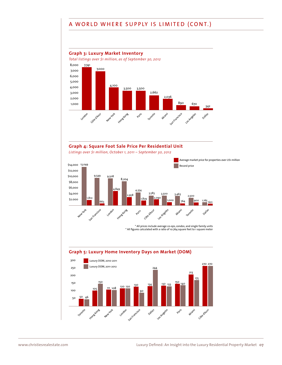# A WORLD WHERE SUPPLY IS LIMITED (CONT.)

### **Graph 3: Luxury Market Inventory**

*Total listings over \$1 million, as of September 30, 2012*



## **Graph 4: Square Foot Sale Price Per Residential Unit**

*Listings over \$1 million, October 1, 2011 – September 30, 2012*





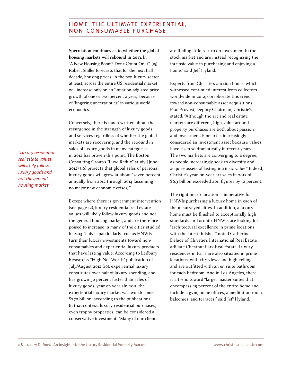## HOME: THE ULTIMATE EXPERIENTIAL, NON-CONSUMABLE PURCHASE

**Speculation continues as to whether the global housing markets will rebound in 2013**. In "A New Housing Boom? Don't Count On It",  $(i5)$ Robert Shiller forecasts that for the next half decade, housing prices, in the non-luxury sector at least, across the entire US residential market will increase only on an "inflation-adjusted price growth of one or two percent a year," because of "lingering uncertainties" in various world economics.

Conversely, there is much written about the resurgence in the strength of luxury goods and services regardless of whether the global markets are recovering, and the rebound in sales of luxury goods in many categories in 2012 has proven this point. The Boston Consulting Group's "Luxe Redux" study (June 2012) (16) projects that global sales of personal luxury goods will grow at about "seven percent annually from 2012 through 2014 (assuming no major new economic crises)."

Except where there is government intervention (see page 12), luxury residential real estate values will likely follow luxury goods and not the general housing market, and are therefore poised to increase in many of the cities studied in 2013. This is particularly true as HNWIs turn their luxury investments toward nonconsumables and experiential luxury products that have lasting value. According to Ledbury Research's "High Net Worth" publication of July/August 2012 (16), experiential luxury constitutes over half of luxury spending, and has grown 50 percent faster than sales of luxury goods, year on year. (In 2011, the experiential luxury market was worth some  $$770$  billion, according to the publication). In that context, luxury residential purchases, even trophy properties, can be considered a conservative investment. "Many of our clients

are finding little return on investment in the stock market and are instead recognizing the intrinsic value in purchasing and enjoying a home," said Jeff Hyland.

Experts from Christie's auction house, which witnessed continued interest from collectors worldwide in 2012, corroborate this trend toward non-consumable asset acquisitions. Paul Provost, Deputy Chairman, Christie's, stated: "Although the art and real estate markets are different, high-value art and property purchases are both about passion and investment. Fine art is increasingly considered an investment asset because values have risen so dramatically in recent years. The two markets are converging to a degree, as people increasingly seek to diversify and acquire assets of lasting intrinsic value." Indeed, Christie's year-on-year art sales in 2012 of  $$6.3$  billion exceeded 2011 figures by 10 percent.

The right micro-location is imperative for HNWIs purchasing a luxury home in each of the 10 surveyed cities. In addition, a luxury home must be finished to exceptionally high standards. In Toronto, HNWIs are looking for "architectural excellence in prime locations with the latest finishes," noted Catherine Deluce of Christie's International Real Estate affiliate Chestnut Park Real Estate. Luxury residences in Paris are also situated in prime locations, with city views and high ceilings, and are outfitted with an en suite bathroom for each bedroom. And in Los Angeles, there is a trend toward "larger master suites that encompass 25 percent of the entire home and include a gym, home offices, a meditation room, balconies, and terraces," said Jeff Hyland.

*"Luxury residential real estate values will likely follow luxury goods and not the general housing market."*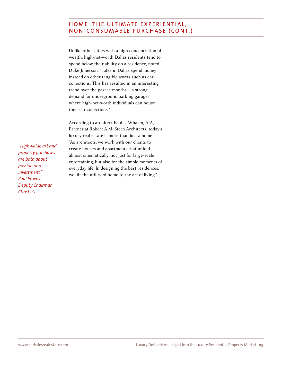# HOME: THE ULTIMATE EXPERIENTIAL, NON-CONSUMABLE PURCHASE (CONT.)

Unlike other cities with a high concentration of wealth, high-net-worth Dallas residents tend to spend below their ability on a residence, noted Duke Jimerson. "Folks in Dallas spend money instead on other tangible assets such as car collections. This has resulted in an interesting trend over the past 12 months – a strong demand for underground parking garages where high-net-worth individuals can house their car collections."

According to architect Paul L. Whalen, AIA, Partner at Robert A.M. Stern Architects, today's luxury real estate is more than just a home. "As architects, we work with our clients to create houses and apartments that unfold almost cinematically, not just for large-scale entertaining, but also for the simple moments of everyday life. In designing the best residences, we lift the utility of home to the art of living."

*"High-value art and property purchases are both about passion and investment." Paul Provost, Deputy Chairman, Christie's*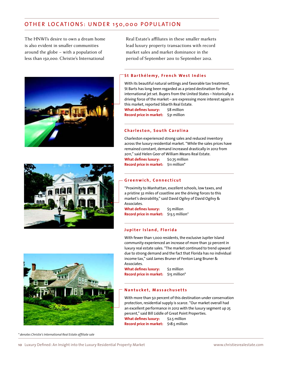# OTHER LOCATIONS: UNDER 150,000 POPULATION

The HNWI's desire to own a dream home is also evident in smaller communities around the globe – with a population of less than 150,000. Christie's International







*\* denotes Christie's International Real Estate afiliate sale*

Real Estate's affiliates in these smaller markets lead luxury property transactions with record market sales and market dominance in the period of September 2011 to September 2012.

### **St Barthélemy, French West Indies**

With its beautiful natural settings and favorable tax treatment, St Barts has long been regarded as a prized destination for the international jet set. Buyers from the United States – historically a driving force of the market – are expressing more interest again in this market, reported Sibarth Real Estate.<br>What defines luxury: \$8 million **What defines luxury: Record price in market:** \$31 million

#### **Charleston, South Carolina**

Charleston experienced strong sales and reduced inventory across the luxury residential market. "While the sales prices have remained constant, demand increased drastically in 2012 from 2011," said Helen Geer of William Means Real Estate. **What defines luxury:** \$0.75 million **Record price in market:** \$11 million\*

### **Greenwich, Connecticut**

"Proximity to Manhattan, excellent schools, low taxes, and a pristine 32 miles of coastline are the driving forces to this market's desirability," said David Ogilvy of David Ogilvy & Associates.

**What defines luxury:** \$5 million **Record price in market:** \$13.5 million*\** 

#### **Jupiter Island, Florida**

With fewer than 1,000 residents, the exclusive Jupiter Island community experienced an increase of more than 32 percent in luxury real estate sales. "The market continued to trend upward due to strong demand and the fact that Florida has no individual income tax," said James Bruner of Fenton Lang Bruner & Associates.

**What defines luxury:** \$2 million **Record price in market:** \$15 million\*

#### **Nantucket, Massachusetts**

With more than 50 percent of this destination under conservation protection, residential supply is scarce. "Our market overall had an excellent performance in 2012 with the luxury segment up 25 percent," said Bill Liddle of Great Point Properties. **What defines luxury:** \$2.5 million **Record price in market:** \$18.5 million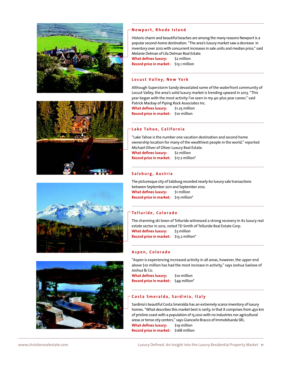







### **Newport, Rhode Island**

Historic charm and beautiful beaches are among the many reasons Newport is a popular second-home destination. "The area's luxury market saw a decrease in inventory over 2012 with concurrent increases in sale units and median price," said Melanie Delman of Lila Delman Real Estate.

**What defines luxury:** \$2 million **Record price in market:** \$13.1 million

### **Locust Valley, New York**

Although Superstorm Sandy devastated some of the waterfront community of Locust Valley, the area's solid luxury market is trending upward in 2013. "This year began with the most activity I've seen in my 40-plus year career," said Patrick Mackay of Piping Rock Associates Inc.

**What defines luxury:** \$1.25 million **Record price in market:** \$10 million

### **Lake Tahoe, California**

"Lake Tahoe is the number one vacation destination and second home ownership location for many of the wealthiest people in the world," reported Michael Oliver of Oliver Luxury Real Estate. **What defines luxury:** \$2 million **Record price in market:** \$17.2 million\*

#### **Salzburg, Austria**

The picturesque city of Salzburg recorded nearly 60 luxury sale transactions between September 2011 and September 2012. **What defines luxury:** \$1 million **Record price in market:** \$15 million\*

### **Telluride, Colorado**

The charming ski town of Telluride witnessed a strong recovery in its luxury real estate sector in 2012, noted TD Smith of Telluride Real Estate Corp. **What defines luxury:** \$3 million **Record price in market:** \$13.2 million\*

#### **Aspen, Colorado**

"Aspen is experiencing increased activity in all areas, however, the upper end above \$10 million has had the most increase in activity," says Joshua Saslove of Joshua & Co.

**What defines luxury:** \$10 million **Record price in market:** \$49 million\*

### **Costa Smeralda, Sardinia, Italy**

Sardinia's beautiful Costa Smeralda has an extremely scarce inventory of luxury homes. "What describes this market best is rarity, in that it comprises from 450 km of pristine coast with a population of 15,000 with no industries nor agricultural areas or tense city centers," says Giancarlo Bracco of Immobilsarda SRL. **What defines luxury:** \$19 million **Record price in market:** \$168 million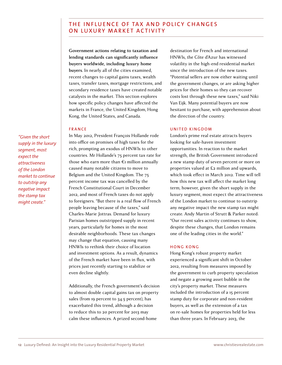# THE INFLUENCE OF TAX AND POLICY CHANGES ON LUXURY MARKET ACTIVITY

**Government actions relating to taxation and lending standards can significantly influence buyers worldwide, including luxury home buyers.** In nearly all of the cities examined, recent changes to capital gains taxes, wealth taxes, transfer taxes, mortgage restrictions, and secondary residence taxes have created notable catalysts in the market. This section explores how specific policy changes have affected the markets in France, the United Kingdom, Hong Kong, the United States, and Canada.

### FRANCE

*"Given the short supply in the luxury segment, most expect the attractiveness of the London market to continue to outstrip any negative impact the stamp tax might create."*

In May 2012, President François Hollande rode into office on promises of high taxes for the rich, prompting an exodus of HNWIs to other countries. Mr Hollande's 75 percent tax rate for those who earn more than  $\epsilon_1$  million annually caused many notable citizens to move to Belgium and the United Kingdom. The 75 percent income tax was cancelled by the French Constitutional Court in December 2012, and most of French taxes do not apply to foreigners. "But there is a real flow of French people leaving because of the taxes," said Charles-Marie Jottras. Demand for luxury Parisian homes outstripped supply in recent years, particularly for homes in the most desirable neighborhoods. These tax changes may change that equation, causing many HNWIs to rethink their choice of location and investment options. As a result, dynamics of the French market have been in flux, with prices just recently starting to stabilize or even decline slightly.

Additionally, the French government's decision to almost double capital gains tax on property sales (from 19 percent to 34.5 percent), has exacerbated this trend, although a decision to reduce this to 20 percent for 2013 may calm these influences. A prized second-home

destination for French and international HNWIs, the Côte d'Azur has witnessed volatility in the high-end residential market since the introduction of the new taxes. ǍPotential sellers are now either waiting until the government changes, or are asking higher prices for their homes so they can recover costs lost through these new taxes," said Niki Van Eijk. Many potential buyers are now hesitant to purchase, with apprehension about the direction of the country.

### UNITED KINGDOM

London's prime real estate attracts buyers looking for safe-haven investment opportunities. In reaction to the market strength, the British Government introduced a new stamp duty of seven percent or more on properties valued at £2 million and upwards. which took effect in March 2012. Time will tell how this new tax will affect the market long term; however, given the short supply in the luxury segment, most expect the attractiveness of the London market to continue to outstrip any negative impact the new stamp tax might create. Andy Martin of Strutt & Parker noted: "Our recent sales activity continues to show, despite these changes, that London remains one of the leading cities in the world."

### HONG KONG

Hong Kong's robust property market experienced a significant shift in October 2012, resulting from measures imposed by the government to curb property speculation and negate a growing asset bubble in the city's property market. These measures included the introduction of a 15 percent stamp duty for corporate and non-resident buyers, as well as the extension of a tax on re-sale homes for properties held for less than three years. In February 2013, the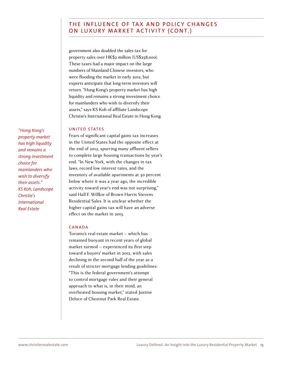# THE INFLUENCE OF TAX AND POLICY CHANGES ON LUXURY MARKET ACTIVITY (CONT.)

government also doubled the sales tax for property sales over HK\$2 million (US\$258,000). These taxes had a major impact on the large numbers of Mainland Chinese investors, who were flooding the market in early 2012, but experts anticipate that long-term investors will return. "Hong Kong's property market has high liquidity and remains a strong investment choice for mainlanders who wish to diversify their assets," says KS Koh of affiliate Landscope Christie's International Real Estate in Hong Kong.

### UNITED STATES

Fears of significant capital gains tax increases in the United States had the opposite effect at the end of 2012, spurring many affluent sellers to complete large housing transactions by year's end. "In New York, with the changes in tax laws, record low interest rates, and the inventory of available apartments at 30 percent below where it was a year ago, the incredible activity toward year's end was not surprising," said Hall F. Willkie of Brown Harris Stevens Residential Sales. It is unclear whether the higher capital gains tax will have an adverse effect on the market in 2013.

### CANADA

Toronto's real estate market – which has remained buoyant in recent years of global market turmoil – experienced its first step toward a buyers' market in 2012, with sales declining in the second half of the year as a result of stricter mortgage lending guidelines: "This is the federal government's attempt to control mortgage rules and their general approach to what is, in their mind, an overheated housing market," stated Justine Deluce of Chestnut Park Real Estate.

*"Hong Kong's property market has high liquidity and remains a strong investment choice for mainlanders who wish to diversify their assets." KS Koh, Landscope Christie's International Real Estate*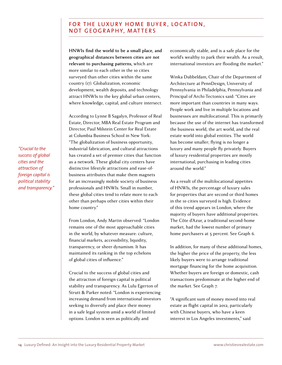# FOR THE LUXURY HOME BUYER, LOCATION, NOT GEOGRAPHY, MATTERS

**HNWIs find the world to be a small place, and geographical distances between cities are not relevant to purchasing patterns,** which are more similar to each other in the 10 cities surveyed than other cities within the same country (17). Globalization, economic development, wealth deposits, and technology attract HNWIs to the key global urban centers, where knowledge, capital, and culture intersect.

According to Lynne B Sagalyn, Professor of Real Estate, Director, MBA Real Estate Program and Directorƻ Paul Milstein Center for Real Estate at Columbia Business School in New York: "The globalization of business opportunity, industrial fabrication, and cultural attractions has created a set of premier cities that function as a network. These global city centers have distinctive lifestyle attractions and ease-ofbusiness attributes that make them magnets for an increasingly mobile society of business professionals and HNWIs. Small in number, these global cities tend to relate more to each other than perhaps other cities within their home country."

From London, Andy Martin observed: "London remains one of the most approachable cities in the world, by whatever measure: culture, financial markets, accessibility, liquidity, transparency, or sheer dynamism. It has maintained its ranking in the top echelons of global cities of influence."

Crucial to the success of global cities and the attraction of foreign capital is political stability and transparency. As Lulu Egerton of Strutt & Parker noted: "London is experiencing increasing demand from international investors seeking to diversify and place their money in a safe legal system amid a world of limited options. London is seen as politically and

economically stable, and is a safe place for the world's wealthy to park their wealth. As a result, international investors are flooding the market."

Winka Dubbeldam, Chair of the Department of Architecture at PennDesign, University of Pennsylvania in Philadelphia, Pennsylvania and Principal of Archi-Tectonics said: "Cities are more important than countries in many ways. People work and live in multiple locations and businesses are multilocational. This is primarily because the use of the internet has transformed the business world, the art world, and the real estate world into global entities. The world has become smaller; flying is no longer a luxury and many people fly privately. Buyers of luxury residential properties are mostly international, purchasing in leading cities around the world."

As a result of the multilocational appetites of HNWIs, the percentage of luxury sales for properties that are second or third homes in the 10 cities surveyed is high. Evidence of this trend appears in London, where the majority of buyers have additional properties. The Côte d'Azur, a traditional second-home market, had the lowest number of primary home purchasers at 5 percent. See Graph 6.

In addition, for many of these additional homes, the higher the price of the property, the less likely buyers were to arrange traditional mortgage financing for the home acquisition. Whether buyers are foreign or domestic, cash transactions predominate at the higher end of the market. See Graph 7.

"A significant sum of money moved into real estate as flight capital in 2012, particularly with Chinese buyers, who have a keen interest in Los Angeles investments," said

*"Crucial to the success of global cities and the attraction of foreign capital is political stability and transparency."*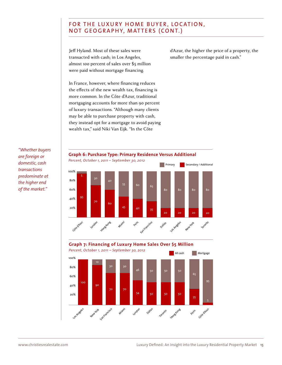# FOR THE LUXURY HOME BUYER, LOCATION, NOT GEOGRAPHY, MATTERS (CONT.)

Jeff Hyland. Most of these sales were transacted with cash; in Los Angeles, almost 100 percent of sales over \$5 million were paid without mortgage financing.

d'Azur, the higher the price of a property, the smaller the percentage paid in cash."

In France, however, where financing reduces the effects of the new wealth tax, financing is more common. In the Côte d'Azur, traditional mortgaging accounts for more than 90 percent of luxury transactions. "Although many clients may be able to purchase property with cash, they instead opt for a mortgage to avoid paying wealth tax," said Niki Van Eijk. "In the Côte

*"Whether buyers are foreign or domestic, cash transactions predominate at the higher end of the market."*



# **Graph 7: Financing of Luxury Home Sales Over \$5 Million**

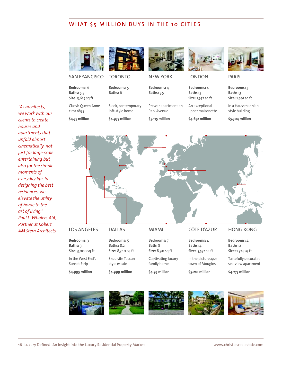# WHAT \$5 MILLION BUYS IN THE 10 CITIES



[SAN FRANCISCO](http://www.christiesrealestate.com/eng/sales/detail/170-l-616-404551/3249-jackson-st-presidio-heights-san-francisco-ca-94118)

**Bedrooms:** 6 **Baths:** 5.5 **Size:** 5,627 sq ft

Classic Queen Anne circa 1895

**\$4.75 million**





**Bedrooms:** 5

**Baths:** 6

[Sleek, contemporary](http://www.christiesrealestate.com/eng/sales/detail/170-l-78202-c2540473/sleek-and-contemporary-home-in-south-hill-toronto-on-m4v2n4)  loft-style home

**\$4.977 million**



NEW YORK

**Bedrooms:** 4 **Baths:** 3.5

[Prewar apartment on](http://www.christiesrealestate.com/eng/sales/detail/170-l-9-3648060/1045-park-avenue-upper-east-side-new-york-ny-10028)  Park Avenue **\$5.175 million**



LONDON

**Bedrooms:** 4 **Baths:** 3 **Size:** 1,742 sq ft

An exceptional [upper maisonette](http://www.christiesrealestate.com/eng/sales/detail/170-l-78252-wec120222/elm-park-gardens-chelsea-london-sw10-chelsea-london-en-sw109pa) 

**\$4.652 million**



PARIS

**Bedrooms:** 3 **Baths:** 3 **Size:** 1,991 sq ft

[In a Haussmannian](http://www.christiesrealestate.com/eng/sales/detail/170-l-14-7506393/apartment-paris-left-bank-notre-dame-saint-germain-des-pres-paris-pa-75007)style building

**\$5.304 million**



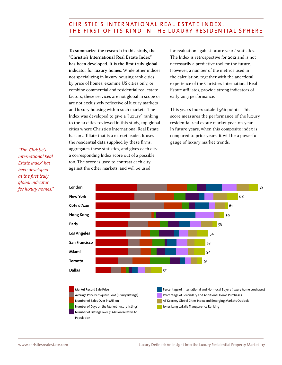## CHRISTIE'S INTERNATIONAL REAL ESTATE INDEX: THE FIRST OF ITS KIND IN THE LUXURY RESIDENTIAL SPHERE

**To summarize the research in this study, the "Christie's International Real Estate Index" has been developed. It is the first truly global indicator for luxury homes**. While other indices not specializing in luxury housing rank cities by price of homes, examine US cities only, or combine commercial and residential real estate factors, these services are not global in scope or are not exclusively reflective of luxury markets and luxury housing within such markets. The Index was developed to give a "luxury" ranking to the 10 cities reviewed in this study, top global cities where Christie's International Real Estate has an affiliate that is a market leader. It uses the residential data supplied by these firms, aggregates these statistics, and gives each city a corresponding Index score out of a possible 100. The score is used to contrast each city against the other markets, and will be used

for evaluation against future years' statistics. The Index is retrospective for 2012 and is not necessarily a predictive tool for the future. However, a number of the metrics used in the calculation, together with the anecdotal experience of the Christie's International Real Estate affiliates, provide strong indicators of early 2013 performance.

This year's Index totaled 566 points. This score measures the performance of the luxury residential real estate market year-on-year. In future years, when this composite index is compared to prior years, it will be a powerful gauge of luxury market trends.

*"The 'Christie's International Real Estate Index' has been developed*  as the first truly *global indicator for luxury homes."*

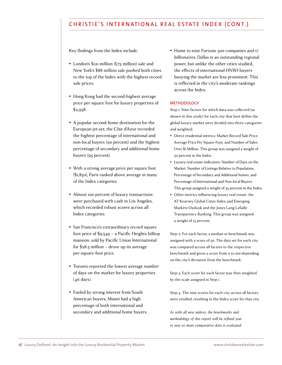# CHRISTIE'S INTERNATIONAL REAL ESTATE INDEX (CONT.)

Key findings from the Index include:

- $\bullet$  London's \$121 million (£75 million) sale and New York's \$88 million sale pushed both cities to the top of the Index with the highest record sale prices.
- Hong Kong had the second-highest average price per square foot for luxury properties of  $$2.958$ .
- Ǜ A popular second-home destination for the European jet-set, the Côte d'Azur recorded the highest percentage of international and non-local buyers (90 percent) and the highest percentage of secondary and additional home buyers (95 percent).
- Ǜ With a strong average price per square foot ǝǶȀƻȇȂǿǞƻ Paris ranked above average in many of the Index categories.
- Almost 100 percent of luxury transactions were purchased with cash in Los Angeles, which recorded robust scores across all Index categories.
- San Francisco's extraordinary record square foot price of  $$9,549 - a$  Pacific Heights hilltop mansion, sold by Pacific Union International for  $$28.5$  million – drove up its average per-square-foot price.
- Ǜ Toronto reported the lowest average number of days on the market for luxury properties (46 days).
- Fueled by strong interest from South American buyers, Miami had a high percentage of both international and secondary and additional home buyers.

• Home to nine Fortune 500 companies and 17 billionaires, Dallas is an outstanding regional power, but unlike the other cities studied, the effects of international HNWI buyers buoying the market are less prominent. This is reflected in the city's moderate rankings across the Index.

#### **METHODOLOGY**

Step 1: Nine factors for which data was collected (as shown in this study) for each city that best define the global luxury market were divided into three categories and weighted:

- Direct residential metrics: Market Record Sale Price, Average Price Per Square Foot, and Number of Sales Over \$1 Million. This group was assigned a weight of 52 percent in the Index.
- Luxury real estate indicators: Number of Days on the Market, Number of Listings Relative to Population, Percentage of Secondary and Additional homes, and Percentage of International and Non-local Buyers. This group assigned a weight of 35 percent in the Index.
- Other metrics influencing luxury real estate: the AT Kearney Global Cities Index and Emerging Markets Outlook and the Jones Lang LaSalle Transparency Ranking. This group was assigned a weight of 13 percent.

Step 2: For each factor, a median or benchmark was assigned with a score of 50. The data set for each city was compared across all factors to the respective benchmark and given a score from 0 to 100 depending on the city's deviation from the benchmark.

Step 3: Each score for each factor was then weighted by the scale assigned in Step 1.

Step 4: The nine scores for each city across all factors were totalled, resulting in the Index score for that city.

*As with all new indices, the benchmarks and methodology of this report will be refined year to year as more comparative data is evaluated.*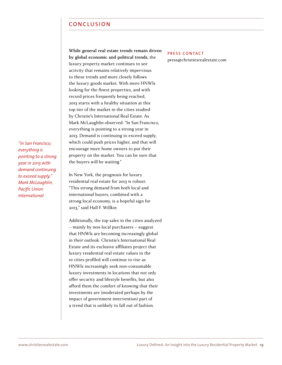## CONCLUSION

**While general real estate trends remain driven by global economic and political trends**, the luxury property market continues to see activity that remains relatively impervious to these trends and more closely follows the luxury goods market. With more HNWIs looking for the finest properties, and with record prices frequently being reached, 2013 starts with a healthy situation at this top tier of the market in the cities studied by Christie's International Real Estate. As Mark McLaughlin observed: "In San Francisco, everything is pointing to a strong year in 2013. Demand is continuing to exceed supply, which could push prices higher, and that will encourage more home owners to put their property on the market. You can be sure that the buyers will be waiting."

In New York, the prognosis for luxury residential real estate for 2013 is robust: "This strong demand from both local and international buyers, combined with a strong local economy, is a hopeful sign for

*everything is pointing to a strong year in 2013 with demand continuing to exceed supply." Mark McLaughlin,*  **Pacific Union** *International*

*"In San Francisco,* 

2013," said Hall F. Willkie. Additionally, the top sales in the cities analyzed – mainly by non-local purchasers – suggest that HNWIs are becoming increasingly global in their outlook. Christie's International Real Estate and its exclusive affiliates project that luxury residential real estate values in the 10 cities profiled will continue to rise as HNWIs increasingly seek non-consumable luxury investments in locations that not only offer security and lifestyle benefits, but also afford them the comfort of knowing that their investments are (moderated perhaps by the impact of government intervention) part of a trend that is unlikely to fall out of fashion.

### PRESS CONTACT

press@christiesrealestate.com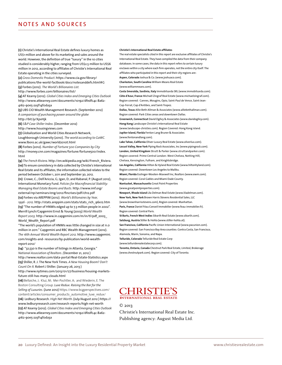## NOTES AND SOURCES

(1) Christie's International Real Estate defines luxury homes as US\$1 million and above for its marketing and sales around the world. However, the definition of true "luxury" in the 10 cities studied is considerably higher, ranging from US\$2.5 million to US\$6 million in 2012, according to afiliates of Christie's International Real Estate operating in the cities surveyed.

**(2)** *Gross Domestic Product*. https://www.cia.gov/library/ publications/the-world-factbook/docs/notesanddefs.html#G **(3)** Forbes (2012). *The World's Billionaires List.* 

http://www.forbes.com/billionaires/list/

**(4)** AT Kearny (2012). *Global Cities Index and Emerging Cities Outlook*  http://www.atkearney.com/documents/10192/dfedfc4c-8a62- 4162-90e5-2a3f14f0da3a

**(5)** UBS CIO Wealth Management Research. (September 2012) *A comparison of purchasing power around the globe*  http://bit.ly/XpvHjk

**(6)** *S&P Case-Shiller Index*. (December 2012)

http://www.housingviews.com

**(7)** Globalization and World Cities Research Network, Loughborough University (2010). *The world according to GaWC.* www.lboro.ac.uk/gawc/world2010t.html

**(8)** Forbes (2012). *Number of Fortune 500 Companies by City* http://money.cnn.com/magazines/fortune/fortune500/index. html

**(9)** *The French Riviera*. http://en.wikipedia.org/wiki/French\_Riviera. **(10)** To ensure consistency in data collected by Christie's International Real Estate and its affiliates, the information collected relates to the period between October 1, 2011 and September 30, 2012.

**(11)** Crowe, C.; Dell'Ariccia, G; Igan, D; and Rabanal, P. (August 2012), International Monetary Fund. *Policies for Macrofinancial Stability*: *Managing Real Estate Booms and Busts.* http://www.imf.org/ external/np/seminars/eng/2012/fincrises/pdf/ch12.pdf **(12)** Forbes via AREPPIM (2012). *World's Billionaires by Year, 1996 - 2012.* http://stats.areppim.com/stats/stats\_rich\_96x12.htm **(13)** "The number of HNWIs edged up to 7.3 million people in 2002". Merrill Lynch/Capgemini Ernst & Young (2003) *World Wealth Report 2003.* http://www.in.capgemini.com/m/in/tl/pdf\_2003\_ World\_Wealth\_Report.pdf

"The world's population of HNWIs was little changed in size at 11.0 million in 2011." Capgemini and RBC Wealth Management (2012). *The 16th Annual World Wealth Report 2012.* http://www.capgemini. com/insights-and- resources/by-publication/world-wealthreport-2012/

**(14)** "32,530 is the number of listings in Atlanta, Georgia." *National Association of Realtors. (*December 21, 2012 ) http://www.realtor.com/data-portal/Real-Estate-Statistics.aspx **(15)** Shiller, R. J. The New York Times. *A New Housing Boom? Don't Count On It.* Robert J Shiller. (January 26, 2013 ) http://www.nytimes.com/2013/01/27/business/housing-markets-

future-still-has-many-clouds.html

**(16)** Bellaiche, J; Kluz, M; Mei-Pochtler, A; and Wiederin, E. The Boston Consulting Group. *Luxe Redux: Raising the Bar for the Selling of Luxuries.* (June 2012) https://www.bcgperspectives.com/ content/articles/consumer\_products\_automotive\_luxe\_redux/ **(16)** Ledbury Research. *High Net Worth*. (July/August 2012 ) https:// www.ledburyresearch.com/research-reports/high-net-worth **(17)** AT Kearny (2012). *Global Cities Index and Emerging Cities Outlook*  http://www.atkearney.com/documents/10192/dfedfc4c-8a62- 4162-90e5-2a3f14f0da3a

#### **Christie's International Real Estate afiliates**

The real estate specialists cited in this report are exclusive afiliates of Christie's International Real Estate. They have compiled the data from their company databases. In some cases, the data in this report refers to certain luxury enclaves within a city where each firm operates, not the entire city itself. The afiliates who participated in this report and their city regions are: **Aspen, Colorado** Joshua & Co. (www.joshuaco.com). **Charleston, South Carolina** William Means Real Estate

(www.williammeans.com).

**Costa Smeralda, Sardinia, Italy** Immobilsarda SRL (www.immobilsarda.com).

**Côte d'Azur, France** Michaël Zingraf Real Estate (www.michaelzingraf.com). Region covered: Cannes, Mougins, Opio, Saint-Paul de Vence, Saint-Jean-Cap-Ferrat, Cap d'Antibes, and Saint-Tropez. **Dallas, Texas** Allie Beth Allman & Associates (www.alliebethallman.com).

Region covered: Park Cities areas and downtown Dallas. **Greenwich, Connecticut** David Ogilvy & Associates (www.davidogilvy.com). **Hong Kong** Landscope Christie's International Real Estate (www.landscope-christies.com). Region Covered: Hong Kong island. **Jupiter Island, Florida** Fenton Lang Bruner & Associates

(www.fentonandlang.com).

**Lake Tahoe, California** Oliver Luxury Real Estate (www.oliverlux.com). **Locust Valley, New York** Piping Rock Associates, Inc (www.pipingrock.com). **London, United Kingdom** Strutt & Parker (www.struttandparker.com). Region covered: Prime Central London: West Chelsea, Notting Hill, Chelsea, Kensington, Fulham, and Knightsbridge. **Los Angeles, California** Hilton & Hyland Real Estate (www.hiltonhyland.com). Region covered: Downtown Los Angeles to Malibu.

**Miami, Florida** Esslinger-Wooten-Maxwell Inc, Realtors (www.ewm.com).

Region covered: Coral Gables and Miami Dade County.

**Nantucket, Massachusetts** Great Point Properties (www.greatpointproperties.com).

**Newport, Rhode Island** Lila Delman Real Estate (www.liladelman.com). **New York, New York** Brown Harris Stevens Residential Sales, LLC (www.brownharrisstevens.com), Region covered: Manhattan. **Paris, France** Daniel Féau Conseil Immobilier (www.feau-immobilier.fr). Region covered: Central Paris.

**St Barts, French West Indies** Sibarth Real Estate (www.sibarth.com). **Salzburg, Austria** Stiller & Hohla (www.stiller-hohla.at).

**San Francisco, California** Pacific Union International (www.pacunion.com). Region covered: San Francisco Bay Area counties: Contra Costa, San Francisco,

Alameda, Marin, Sonoma, and Napa. **Telluride, Colorado** Telluride Real Estate Corp

(www.telluriderealestatecorp.com).

**Toronto, Ontario, Canada** Chestnut Park Real Estate, Limited, Brokerage (www.chestnutpark.com). Region covered: City of Toronto.



© 2013 Christie's International Real Estate Inc.

Publishing agency: August Media Ltd.